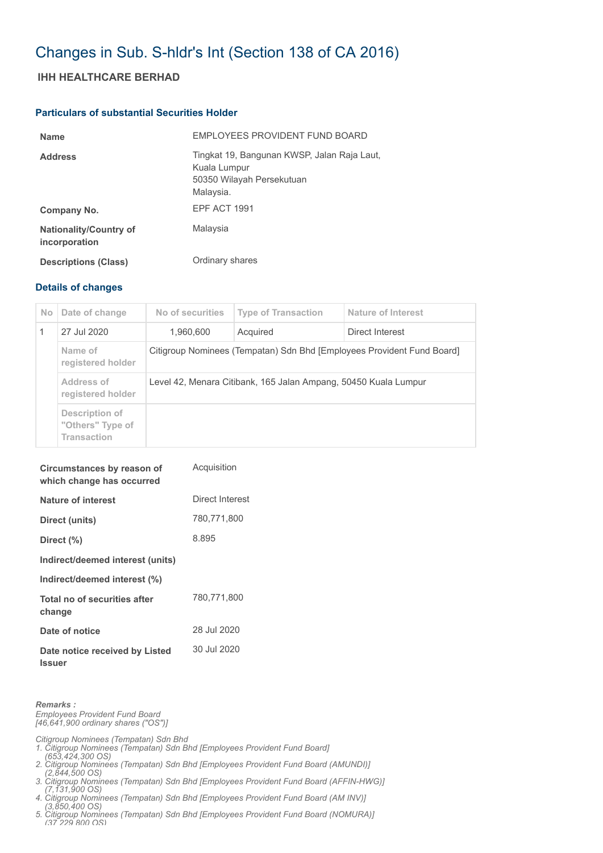## Changes in Sub. S-hldr's Int (Section 138 of CA 2016)

## **IHH HEALTHCARE BERHAD**

## **Particulars of substantial Securities Holder**

| <b>Name</b>                                    | EMPLOYEES PROVIDENT FUND BOARD                                                                        |
|------------------------------------------------|-------------------------------------------------------------------------------------------------------|
| <b>Address</b>                                 | Tingkat 19, Bangunan KWSP, Jalan Raja Laut,<br>Kuala Lumpur<br>50350 Wilayah Persekutuan<br>Malaysia. |
| Company No.                                    | <b>EPF ACT 1991</b>                                                                                   |
| <b>Nationality/Country of</b><br>incorporation | Malaysia                                                                                              |
| <b>Descriptions (Class)</b>                    | Ordinary shares                                                                                       |

## **Details of changes**

| N <sub>o</sub> | Date of change                                           | No of securities                                                       | <b>Type of Transaction</b> | Nature of Interest |  |
|----------------|----------------------------------------------------------|------------------------------------------------------------------------|----------------------------|--------------------|--|
|                | 27 Jul 2020                                              | 1.960.600                                                              | Acquired                   | Direct Interest    |  |
|                | Name of<br>registered holder                             | Citigroup Nominees (Tempatan) Sdn Bhd [Employees Provident Fund Board] |                            |                    |  |
|                | Address of<br>registered holder                          | Level 42, Menara Citibank, 165 Jalan Ampang, 50450 Kuala Lumpur        |                            |                    |  |
|                | Description of<br>"Others" Type of<br><b>Transaction</b> |                                                                        |                            |                    |  |

| Circumstances by reason of<br>which change has occurred | Acquisition     |
|---------------------------------------------------------|-----------------|
| Nature of interest                                      | Direct Interest |
| Direct (units)                                          | 780,771,800     |
| Direct (%)                                              | 8.895           |
| Indirect/deemed interest (units)                        |                 |
| Indirect/deemed interest (%)                            |                 |
| Total no of securities after<br>change                  | 780,771,800     |
| Date of notice                                          | 28 Jul 2020     |
| Date notice received by Listed<br><b>Issuer</b>         | 30 Jul 2020     |

*Remarks : Employees Provident Fund Board [46,641,900 ordinary shares ("OS")]*

*Citigroup Nominees (Tempatan) Sdn Bhd* 

- *1. Citigroup Nominees (Tempatan) Sdn Bhd [Employees Provident Fund Board] (653,424,300 OS)*
- *2. Citigroup Nominees (Tempatan) Sdn Bhd [Employees Provident Fund Board (AMUNDI)]*
- *(2,844,500 OS) 3. Citigroup Nominees (Tempatan) Sdn Bhd [Employees Provident Fund Board (AFFIN-HWG)]*
- *(7,131,900 OS) 4. Citigroup Nominees (Tempatan) Sdn Bhd [Employees Provident Fund Board (AM INV)]*
- *(3,850,400 OS)*
- *5. Citigroup Nominees (Tempatan) Sdn Bhd [Employees Provident Fund Board (NOMURA)] (37 229 800 OS)*